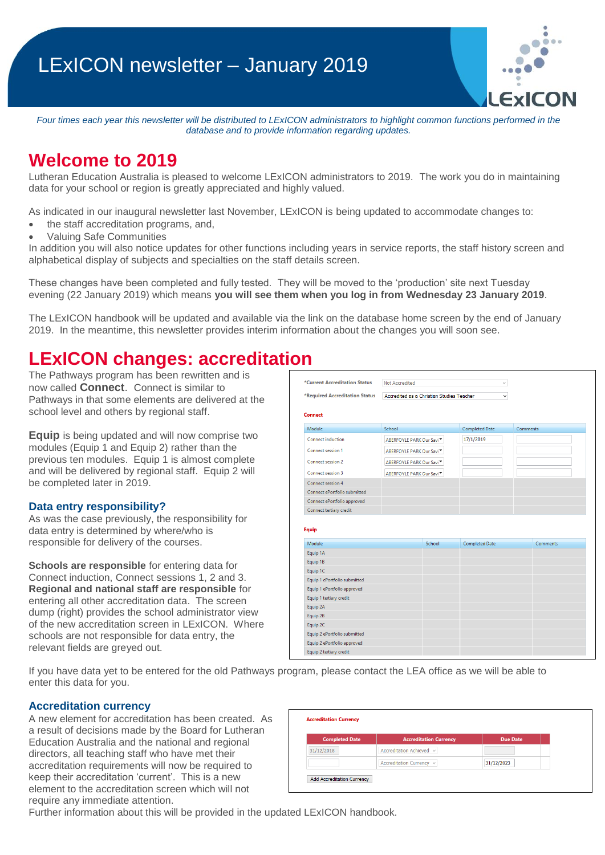*Four times each year this newsletter will be distributed to LExICON administrators to highlight common functions performed in the database and to provide information regarding updates.* 

## **Welcome to 2019**

Lutheran Education Australia is pleased to welcome LExICON administrators to 2019. The work you do in maintaining data for your school or region is greatly appreciated and highly valued.

As indicated in our inaugural newsletter last November, LExICON is being updated to accommodate changes to:

- the staff accreditation programs, and,
- Valuing Safe Communities

In addition you will also notice updates for other functions including years in service reports, the staff history screen and alphabetical display of subjects and specialties on the staff details screen.

These changes have been completed and fully tested. They will be moved to the 'production' site next Tuesday evening (22 January 2019) which means **you will see them when you log in from Wednesday 23 January 2019**.

The LExICON handbook will be updated and available via the link on the database home screen by the end of January 2019. In the meantime, this newsletter provides interim information about the changes you will soon see.

### **LExICON changes: accreditation**

The Pathways program has been rewritten and is now called **Connect**. Connect is similar to Pathways in that some elements are delivered at the school level and others by regional staff.

**Equip** is being updated and will now comprise two modules (Equip 1 and Equip 2) rather than the previous ten modules. Equip 1 is almost complete and will be delivered by regional staff. Equip 2 will be completed later in 2019.

#### **Data entry responsibility?**

As was the case previously, the responsibility for data entry is determined by where/who is responsible for delivery of the courses.

**Schools are responsible** for entering data for Connect induction, Connect sessions 1, 2 and 3. **Regional and national staff are responsible** for entering all other accreditation data. The screen dump (right) provides the school administrator view of the new accreditation screen in LExICON. Where schools are not responsible for data entry, the relevant fields are greyed out.

| *Required Accreditation Status                                                                                 | Accredited as a Christian Studies Teacher |        |                       | v |          |                 |  |
|----------------------------------------------------------------------------------------------------------------|-------------------------------------------|--------|-----------------------|---|----------|-----------------|--|
|                                                                                                                |                                           |        |                       |   |          |                 |  |
| Connect                                                                                                        |                                           |        |                       |   |          |                 |  |
| Module                                                                                                         | School                                    |        | <b>Completed Date</b> |   | Comments |                 |  |
| <b>Connect induction</b>                                                                                       | ABERFOYLE PARK Our Savi <sup>▼</sup>      |        | 17/1/2019             |   |          |                 |  |
| Connect session 1                                                                                              | ABERFOYLE PARK Our Savi <sup>▼</sup>      |        |                       |   |          |                 |  |
| <b>Connect session 2</b>                                                                                       | ABERFOYLE PARK Our Savi <sup>▼</sup>      |        |                       |   |          |                 |  |
| Connect session 3                                                                                              | ABERFOYLE PARK Our Savi <sup>▼</sup>      |        |                       |   |          |                 |  |
| Connect session 4                                                                                              |                                           |        |                       |   |          |                 |  |
| Connect ePortfolio submitted                                                                                   |                                           |        |                       |   |          |                 |  |
| Connect ePortfolio approved                                                                                    |                                           |        |                       |   |          |                 |  |
|                                                                                                                |                                           |        |                       |   |          |                 |  |
| Connect tertiary credit                                                                                        |                                           |        |                       |   |          |                 |  |
| <b>Equip</b>                                                                                                   |                                           |        |                       |   |          |                 |  |
| Module                                                                                                         |                                           | School | <b>Completed Date</b> |   |          | <b>Comments</b> |  |
|                                                                                                                |                                           |        |                       |   |          |                 |  |
| Equip 1A<br>Equip 1B                                                                                           |                                           |        |                       |   |          |                 |  |
|                                                                                                                |                                           |        |                       |   |          |                 |  |
|                                                                                                                |                                           |        |                       |   |          |                 |  |
|                                                                                                                |                                           |        |                       |   |          |                 |  |
| Equip 1C<br>Equip 1 ePortfolio submitted<br>Equip 1 ePortfolio approved<br>Equip 1 tertiary credit<br>Equip 2A |                                           |        |                       |   |          |                 |  |
| Equip 2B                                                                                                       |                                           |        |                       |   |          |                 |  |
| Equip 2C                                                                                                       |                                           |        |                       |   |          |                 |  |
| Equip 2 ePortfolio submitted                                                                                   |                                           |        |                       |   |          |                 |  |
| Equip 2 ePortfolio approved                                                                                    |                                           |        |                       |   |          |                 |  |

If you have data yet to be entered for the old Pathways program, please contact the LEA office as we will be able to enter this data for you.

#### **Accreditation currency**

A new element for accreditation has been created. As a result of decisions made by the Board for Lutheran Education Australia and the national and regional directors, all teaching staff who have met their accreditation requirements will now be required to keep their accreditation 'current'. This is a new element to the accreditation screen which will not require any immediate attention.

| <b>Completed Date</b> | <b>Accreditation Currency</b> | <b>Due Date</b> |  |
|-----------------------|-------------------------------|-----------------|--|
| 31/12/2018            | Accreditation Achieved v      |                 |  |
|                       | Accreditation Currency v      | 31/12/2023      |  |

Further information about this will be provided in the updated LExICON handbook.